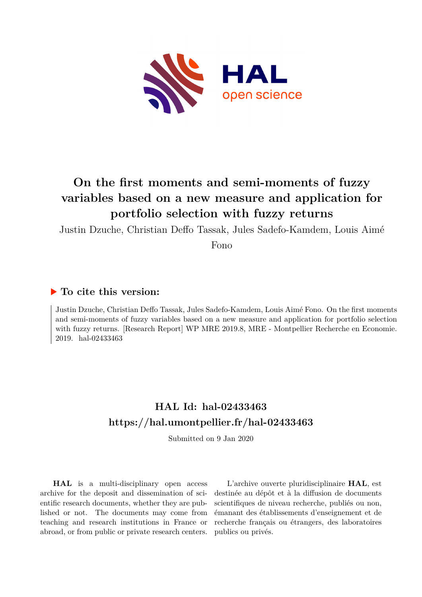

# **On the first moments and semi-moments of fuzzy variables based on a new measure and application for portfolio selection with fuzzy returns**

Justin Dzuche, Christian Deffo Tassak, Jules Sadefo-Kamdem, Louis Aimé

Fono

## **To cite this version:**

Justin Dzuche, Christian Deffo Tassak, Jules Sadefo-Kamdem, Louis Aimé Fono. On the first moments and semi-moments of fuzzy variables based on a new measure and application for portfolio selection with fuzzy returns. [Research Report] WP MRE 2019.8, MRE - Montpellier Recherche en Economie. 2019. hal-02433463

## **HAL Id: hal-02433463 <https://hal.umontpellier.fr/hal-02433463>**

Submitted on 9 Jan 2020

**HAL** is a multi-disciplinary open access archive for the deposit and dissemination of scientific research documents, whether they are published or not. The documents may come from teaching and research institutions in France or abroad, or from public or private research centers.

L'archive ouverte pluridisciplinaire **HAL**, est destinée au dépôt et à la diffusion de documents scientifiques de niveau recherche, publiés ou non, émanant des établissements d'enseignement et de recherche français ou étrangers, des laboratoires publics ou privés.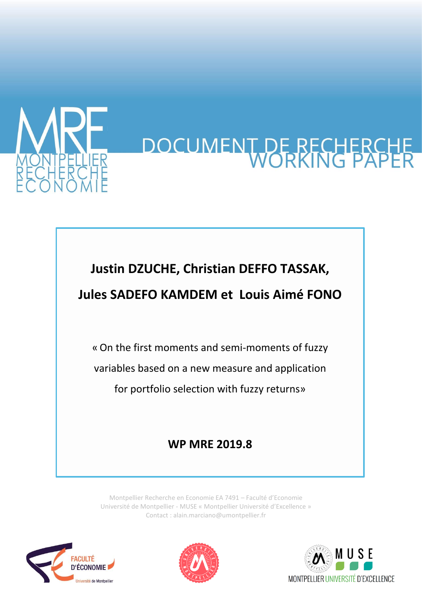

# DOCUMENT DE RECHERCH

# **Justin DZUCHE, Christian DEFFO TASSAK,**

# **Jules SADEFO KAMDEM et Louis Aimé FONO**

«On the first moments and semi-moments of fuzzy variables based on a new measure and application for portfolio selection with fuzzy returns»

# **WP MRE 2019.8**

Montpellier Recherche en Economie EA 7491 – Faculté d'Economie Université de Montpellier - MUSE « Montpellier Université d'Excellence » Contact : alain.marciano@umontpellier.fr





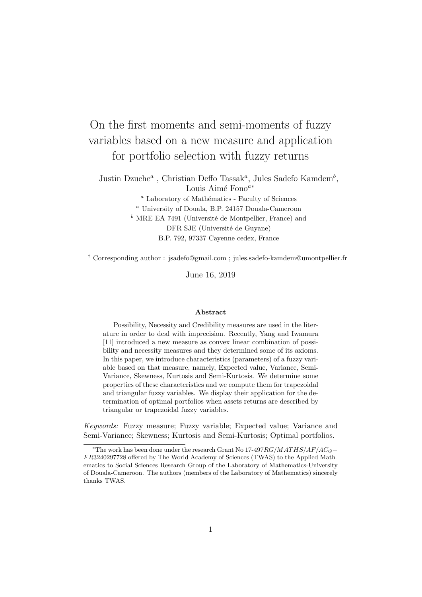# On the first moments and semi-moments of fuzzy variables based on a new measure and application for portfolio selection with fuzzy returns

Justin Dzuche<sup>*a*</sup>, Christian Deffo Tassak<sup>*a*</sup>, Jules Sadefo Kamdem<sup>*b*</sup>, Louis Aim´e Fono*<sup>a</sup><sup>∗</sup>* <sup>*a*</sup> Laboratory of Mathématics - Faculty of Sciences *<sup>a</sup>* University of Douala, B.P. 24157 Douala-Cameroon <sup>*b*</sup> MRE EA 7491 (Université de Montpellier, France) and DFR SJE (Université de Guyane) B.P. 792, 97337 Cayenne cedex, France

*†* Corresponding author : jsadefo@gmail.com ; jules.sadefo-kamdem@umontpellier.fr

June 16, 2019

#### **Abstract**

Possibility, Necessity and Credibility measures are used in the literature in order to deal with imprecision. Recently, Yang and Iwamura [11] introduced a new measure as convex linear combination of possibility and necessity measures and they determined some of its axioms. In this paper, we introduce characteristics (parameters) of a fuzzy variable based on that measure, namely, Expected value, Variance, Semi-Variance, Skewness, Kurtosis and Semi-Kurtosis. We determine some properties of these characteristics and we compute them for trapezoidal and triangular fuzzy variables. We display their application for the determination of optimal portfolios when assets returns are described by triangular or trapezoidal fuzzy variables.

*Keywords:* Fuzzy measure; Fuzzy variable; Expected value; Variance and Semi-Variance; Skewness; Kurtosis and Semi-Kurtosis; Optimal portfolios.

*<sup>∗</sup>*The work has been done under the research Grant No 17-497*RG/MAT HS/AF/ACG− F R*3240297728 offered by The World Academy of Sciences (TWAS) to the Applied Mathematics to Social Sciences Research Group of the Laboratory of Mathematics-University of Douala-Cameroon. The authors (members of the Laboratory of Mathematics) sincerely thanks TWAS.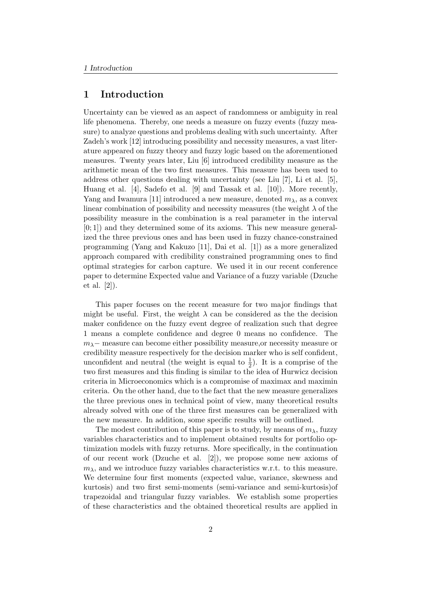#### **1 Introduction**

Uncertainty can be viewed as an aspect of randomness or ambiguity in real life phenomena. Thereby, one needs a measure on fuzzy events (fuzzy measure) to analyze questions and problems dealing with such uncertainty. After Zadeh's work [12] introducing possibility and necessity measures, a vast literature appeared on fuzzy theory and fuzzy logic based on the aforementioned measures. Twenty years later, Liu [6] introduced credibility measure as the arithmetic mean of the two first measures. This measure has been used to address other questions dealing with uncertainty (see Liu [7], Li et al. [5], Huang et al. [4], Sadefo et al. [9] and Tassak et al. [10]). More recently, Yang and Iwamura [11] introduced a new measure, denoted  $m_{\lambda}$ , as a convex linear combination of possibility and necessity measures (the weight  $\lambda$  of the possibility measure in the combination is a real parameter in the interval  $[0; 1]$  and they determined some of its axioms. This new measure generalized the three previous ones and has been used in fuzzy chance-constrained programming (Yang and Kakuzo [11], Dai et al. [1]) as a more generalized approach compared with credibility constrained programming ones to find optimal strategies for carbon capture. We used it in our recent conference paper to determine Expected value and Variance of a fuzzy variable (Dzuche et al. [2]).

This paper focuses on the recent measure for two major findings that might be useful. First, the weight  $\lambda$  can be considered as the the decision maker confidence on the fuzzy event degree of realization such that degree 1 means a complete confidence and degree 0 means no confidence. The *m*<sub>λ</sub> − measure can become either possibility measure,or necessity measure or credibility measure respectively for the decision marker who is self confident, unconfident and neutral (the weight is equal to  $\frac{1}{2}$ ). It is a comprise of the two first measures and this finding is similar to the idea of Hurwicz decision criteria in Microeconomics which is a compromise of maximax and maximin criteria. On the other hand, due to the fact that the new measure generalizes the three previous ones in technical point of view, many theoretical results already solved with one of the three first measures can be generalized with the new measure. In addition, some specific results will be outlined.

The modest contribution of this paper is to study, by means of  $m<sub>\lambda</sub>$ , fuzzy variables characteristics and to implement obtained results for portfolio optimization models with fuzzy returns. More specifically, in the continuation of our recent work (Dzuche et al. [2]), we propose some new axioms of  $m_{\lambda}$ , and we introduce fuzzy variables characteristics w.r.t. to this measure. We determine four first moments (expected value, variance, skewness and kurtosis) and two first semi-moments (semi-variance and semi-kurtosis)of trapezoidal and triangular fuzzy variables. We establish some properties of these characteristics and the obtained theoretical results are applied in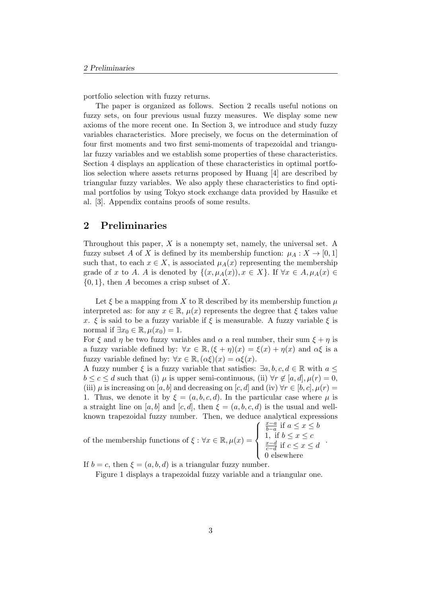portfolio selection with fuzzy returns.

The paper is organized as follows. Section 2 recalls useful notions on fuzzy sets, on four previous usual fuzzy measures. We display some new axioms of the more recent one. In Section 3, we introduce and study fuzzy variables characteristics. More precisely, we focus on the determination of four first moments and two first semi-moments of trapezoidal and triangular fuzzy variables and we establish some properties of these characteristics. Section 4 displays an application of these characteristics in optimal portfolios selection where assets returns proposed by Huang [4] are described by triangular fuzzy variables. We also apply these characteristics to find optimal portfolios by using Tokyo stock exchange data provided by Hasuike et al. [3]. Appendix contains proofs of some results.

#### **2 Preliminaries**

Throughout this paper, *X* is a nonempty set, namely, the universal set. A fuzzy subset *A* of *X* is defined by its membership function:  $\mu_A : X \to [0,1]$ such that, to each  $x \in X$ , is associated  $\mu_A(x)$  representing the membership grade of *x* to *A*. *A* is denoted by  $\{(x, \mu_A(x)), x \in X\}$ . If  $\forall x \in A, \mu_A(x) \in$ *{*0*,* 1*},* then *A* becomes a crisp subset of *X.*

Let  $\xi$  be a mapping from  $X$  to  $\mathbb R$  described by its membership function  $\mu$ interpreted as: for any  $x \in \mathbb{R}$ ,  $\mu(x)$  represents the degree that  $\xi$  takes value *x*. *ξ* is said to be a fuzzy variable if *ξ* is measurable. A fuzzy variable *ξ* is normal if  $\exists x_0 \in \mathbb{R}, \mu(x_0) = 1.$ 

For  $\xi$  and  $\eta$  be two fuzzy variables and  $\alpha$  a real number, their sum  $\xi + \eta$  is a fuzzy variable defined by:  $\forall x \in \mathbb{R}, (\xi + \eta)(x) = \xi(x) + \eta(x)$  and  $\alpha\xi$  is a fuzzy variable defined by:  $\forall x \in \mathbb{R}, (\alpha \xi)(x) = \alpha \xi(x)$ .

A fuzzy number  $\xi$  is a fuzzy variable that satisfies:  $\exists a, b, c, d \in \mathbb{R}$  with  $a \leq$  $b \leq c \leq d$  such that (i)  $\mu$  is upper semi-continuous, (ii)  $\forall r \notin [a, d], \mu(r) = 0$ , (iii)  $\mu$  is increasing on [*a, b*] and decreasing on [*c, d*] and (iv)  $\forall r \in [b, c], \mu(r) =$ 1. Thus, we denote it by  $\xi = (a, b, c, d)$ . In the particular case where  $\mu$  is a straight line on [a, b] and [c, d], then  $\xi = (a, b, c, d)$  is the usual and wellknown trapezoidal fuzzy number. Then, we deduce analytical expressions

of the membership functions of  $\xi : \forall x \in \mathbb{R}, \mu(x) =$ 

 $\sqrt{ }$  $\int$  $\overline{\mathcal{L}}$ *x−a b−a* if *a ≤ x ≤ b* 1, if  $b \leq x \leq c$ *x−d c−d* if *c ≤ x ≤ d* 0 elsewhere *.*

If  $b = c$ , then  $\xi = (a, b, d)$  is a triangular fuzzy number.

Figure 1 displays a trapezoidal fuzzy variable and a triangular one.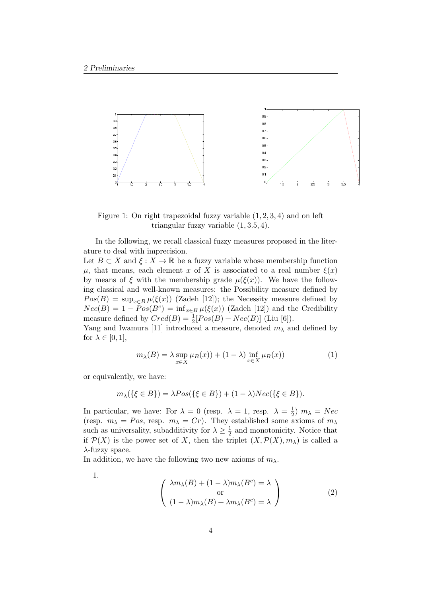

Figure 1: On right trapezoidal fuzzy variable (1*,* 2*,* 3*,* 4) and on left triangular fuzzy variable (1*,* 3*.*5*,* 4).

In the following, we recall classical fuzzy measures proposed in the literature to deal with imprecision.

Let  $B \subset X$  and  $\xi : X \to \mathbb{R}$  be a fuzzy variable whose membership function *μ*, that means, each element *x* of *X* is associated to a real number  $ξ(x)$ by means of  $\xi$  with the membership grade  $\mu(\xi(x))$ . We have the following classical and well-known measures: the Possibility measure defined by  $Pos(B) = \sup_{x \in B} \mu(\xi(x))$  (Zadeh [12]); the Necessity measure defined by  $Nec(B) = 1 - Pos(B<sup>c</sup>) = inf_{x \in B} \mu(\xi(x))$  (Zadeh [12]) and the Credibility measure defined by  $Cred(B) = \frac{1}{2}[Pos(B) + Nec(B)]$  (Liu [6]).

Yang and Iwamura [11] introduced a measure, denoted  $m<sub>\lambda</sub>$  and defined by for  $\lambda \in [0, 1]$ ,

$$
m_{\lambda}(B) = \lambda \sup_{x \in X} \mu(B(x)) + (1 - \lambda) \inf_{x \in X} \mu(B(x))
$$
 (1)

or equivalently, we have:

$$
m_{\lambda}(\{\xi \in B\}) = \lambda Pos(\{\xi \in B\}) + (1 - \lambda)Nec(\{\xi \in B\}).
$$

In particular, we have: For  $\lambda = 0$  (resp.  $\lambda = 1$ , resp.  $\lambda = \frac{1}{2}$ )  $\frac{1}{2}$ )  $m_{\lambda} = Nec$ (resp.  $m_{\lambda} = Pos$ , resp.  $m_{\lambda} = Cr$ ). They established some axioms of  $m_{\lambda}$ such as universality, subadditivity for  $\lambda \geq \frac{1}{2}$  $\frac{1}{2}$  and monotonicity. Notice that if  $P(X)$  is the power set of *X*, then the triplet  $(X, P(X), m_\lambda)$  is called a *λ*-fuzzy space.

In addition, we have the following two new axioms of  $m_\lambda$ .

1.

$$
\begin{pmatrix}\n\lambda m_{\lambda}(B) + (1 - \lambda)m_{\lambda}(B^{c}) = \lambda \\
\text{or} \\
(1 - \lambda)m_{\lambda}(B) + \lambda m_{\lambda}(B^{c}) = \lambda\n\end{pmatrix}
$$
\n(2)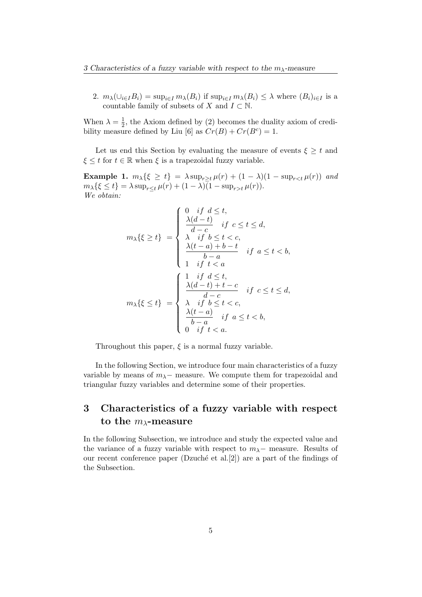2.  $m_{\lambda}(\cup_{i\in I}B_i)=\sup_{i\in I}m_{\lambda}(B_i)$  if  $\sup_{i\in I}m_{\lambda}(B_i)\leq \lambda$  where  $(B_i)_{i\in I}$  is a countable family of subsets of *X* and  $I \subset \mathbb{N}$ .

When  $\lambda = \frac{1}{2}$  $\frac{1}{2}$ , the Axiom defined by (2) becomes the duality axiom of credibility measure defined by Liu [6] as  $Cr(B) + Cr(B^c) = 1$ .

Let us end this Section by evaluating the measure of events  $\xi \geq t$  and  $\xi \leq t$  for  $t \in \mathbb{R}$  when  $\xi$  is a trapezoidal fuzzy variable.

**Example 1.**  $m_{\lambda} \{\xi \ge t\} = \lambda \sup_{r > t} \mu(r) + (1 - \lambda)(1 - \sup_{r \le t} \mu(r))$  and  $m_{\lambda} {\{\xi \leq t\}} = \lambda \sup_{r \leq t} \mu(r) + (1 - \lambda) (1 - \sup_{r \geq t} \mu(r)).$ *We obtain:*

$$
m_{\lambda}\{\xi \geq t\} = \begin{cases} 0 & \text{if } d \leq t, \\ \frac{\lambda(d-t)}{d-c} & \text{if } c \leq t \leq d, \\ \lambda & \text{if } b \leq t < c, \\ \frac{\lambda(t-a)+b-t}{b-a} & \text{if } a \leq t < b, \\ 1 & \text{if } t < a \end{cases}
$$
\n
$$
m_{\lambda}\{\xi \leq t\} = \begin{cases} 1 & \text{if } d \leq t, \\ \frac{\lambda(d-t)+t-c}{d-c} & \text{if } c \leq t \leq d, \\ \frac{\lambda(t-a)}{b-a} & \text{if } a \leq t < b, \\ 0 & \text{if } t < a. \end{cases}
$$

Throughout this paper,  $\xi$  is a normal fuzzy variable.

In the following Section, we introduce four main characteristics of a fuzzy variable by means of  $m_\lambda$  – measure. We compute them for trapezoidal and triangular fuzzy variables and determine some of their properties.

## **3 Characteristics of a fuzzy variable with respect to the** *mλ***-measure**

In the following Subsection, we introduce and study the expected value and the variance of a fuzzy variable with respect to  $m_\lambda$  – measure. Results of our recent conference paper (Dzuché et al.[2]) are a part of the findings of the Subsection.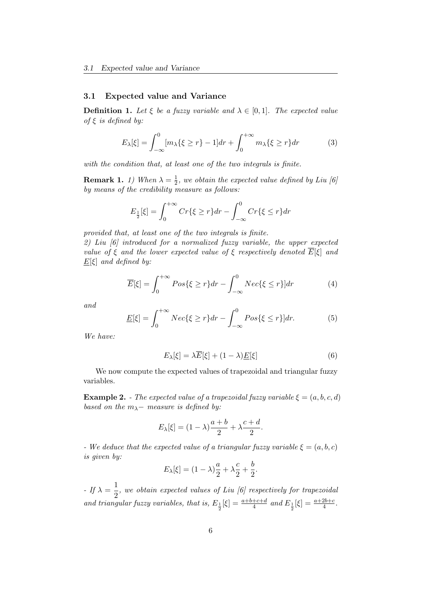#### **3.1 Expected value and Variance**

**Definition 1.** Let  $\xi$  be a fuzzy variable and  $\lambda \in [0,1]$ . The expected value *of ξ is defined by:*

$$
E_{\lambda}[\xi] = \int_{-\infty}^{0} [m_{\lambda}\{\xi \ge r\} - 1] dr + \int_{0}^{+\infty} m_{\lambda}\{\xi \ge r\} dr \tag{3}
$$

*with the condition that, at least one of the two integrals is finite.*

**Remark 1.** *1*) When  $\lambda = \frac{1}{2}$  $\frac{1}{2}$ , we obtain the expected value defined by Liu [6] *by means of the credibility measure as follows:*

$$
E_{\frac{1}{2}}[\xi] = \int_0^{+\infty} Cr\{\xi \ge r\} dr - \int_{-\infty}^0 Cr\{\xi \le r\} dr
$$

*provided that, at least one of the two integrals is finite.*

*2) Liu [6] introduced for a normalized fuzzy variable, the upper expected value of*  $\xi$  *and the lower expected value of*  $\xi$  *respectively denoted*  $\overline{E}[\xi]$  *and E*[*ξ*] *and defined by:*

$$
\overline{E}[\xi] = \int_0^{+\infty} P \cos\{\xi \ge r\} dr - \int_{-\infty}^0 N e c\{\xi \le r\} dr \tag{4}
$$

*and*

$$
\underline{E}[\xi] = \int_0^{+\infty} Nec\{\xi \ge r\} dr - \int_{-\infty}^0 Pos\{\xi \le r\} dr. \tag{5}
$$

*We have:*

$$
E_{\lambda}[\xi] = \lambda \overline{E}[\xi] + (1 - \lambda) \underline{E}[\xi]
$$
\n(6)

We now compute the expected values of trapezoidal and triangular fuzzy variables.

**Example 2.** *- The expected value of a trapezoidal fuzzy variable*  $\xi = (a, b, c, d)$ *based on the*  $m_{\lambda}$ *− measure is defined by:* 

$$
E_{\lambda}[\xi] = (1 - \lambda)\frac{a+b}{2} + \lambda\frac{c+d}{2}.
$$

*- We deduce that the expected value of a triangular fuzzy variable*  $\xi = (a, b, c)$ *is given by:*

$$
E_{\lambda}[\xi] = (1 - \lambda)\frac{a}{2} + \lambda\frac{c}{2} + \frac{b}{2}.
$$

*- If*  $\lambda = \frac{1}{2}$  $\frac{1}{2}$ , we obtain expected values of Liu [6] respectively for trapezoidal *and triangular fuzzy variables, that is,*  $E_{\frac{1}{2}}[\xi] = \frac{a+b+c+d}{4}$  and  $E_{\frac{1}{2}}[\xi] = \frac{a+2b+c}{4}$ .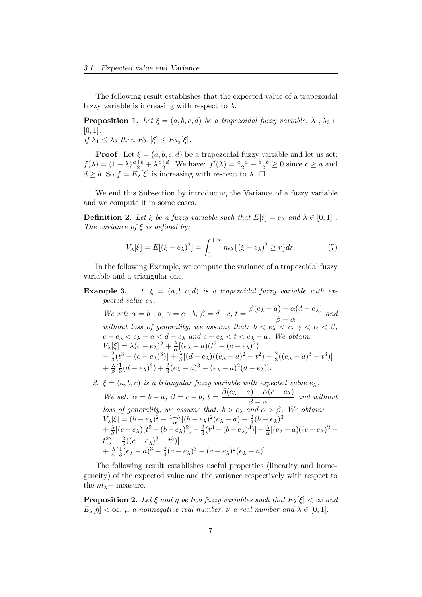The following result establishes that the expected value of a trapezoidal fuzzy variable is increasing with respect to  $\lambda$ .

**Proposition 1.** Let  $\xi = (a, b, c, d)$  be a trapezoidal fuzzy variable,  $\lambda_1, \lambda_2 \in$ [0*,* 1]*.*

 $If \lambda_1 \leq \lambda_2 \ then \ E_{\lambda_1}[\xi] \leq E_{\lambda_2}[\xi].$ 

**Proof**: Let  $\xi = (a, b, c, d)$  be a trapezoidal fuzzy variable and let us set:  $f(\lambda) = (1 - \lambda) \frac{a+b}{2} + \lambda \frac{c+d}{2}$  $\frac{+d}{2}$ . We have:  $f'(\lambda) = \frac{c-a}{2} + \frac{d-b}{2} \ge 0$  since  $c \ge a$  and  $d \geq b$ . So  $f = E_{\lambda}[\xi]$  is increasing with respect to  $\lambda$ .

We end this Subsection by introducing the Variance of a fuzzy variable and we compute it in some cases.

**Definition 2.** Let  $\xi$  be a fuzzy variable such that  $E[\xi] = e_{\lambda}$  and  $\lambda \in [0, 1]$ . *The variance of ξ is defined by:*

$$
V_{\lambda}[\xi] = E[(\xi - e_{\lambda})^2] = \int_0^{+\infty} m_{\lambda} \{ (\xi - e_{\lambda})^2 \ge r \} dr.
$$
 (7)

In the following Example, we compute the variance of a trapezoidal fuzzy variable and a triangular one.

**Example 3.** *1.*  $\xi = (a, b, c, d)$  *is a trapezoidal fuzzy variable with expected value*  $e_{\lambda}$ *.* 

We set:  $\alpha = b-a$ ,  $\gamma = c-b$ ,  $\beta = d-c$ ,  $t = \frac{\beta(e_{\lambda} - a) - \alpha(d - e_{\lambda})}{\beta}$  $\frac{\alpha(\alpha-\beta)}{\beta-\alpha}$  and *without loss of generality, we assume that:*  $b < e_\lambda < c$ ,  $\gamma < \alpha < \beta$ ,  $c - e_\lambda < e_\lambda - a < d - e_\lambda$  and  $c - e_\lambda < t < e_\lambda - a$ . We obtain:  $V_{\lambda}[\xi] = \lambda(c - e_{\lambda})^2 + \frac{\lambda}{\alpha}$  $\frac{\lambda}{\alpha}[(e_{\lambda}-a)(t^2-(c-e_{\lambda})^2)]$ *−* 2  $\frac{2}{3}(t^3 - (c - e_\lambda)^3)] + \frac{\lambda}{\beta}[(d - e_\lambda)((e_\lambda - a)^2 - t^2) - \frac{2}{3}]$  $\frac{2}{3}((e_{\lambda}-a)^3-t^3)$  $+\frac{\lambda}{\beta}$  $\frac{\lambda}{\beta}$ [ $\frac{1}{3}$  $\frac{1}{3}(d-e_{\lambda})^3 + \frac{2}{3}(e_{\lambda}-a)^3 - (e_{\lambda}-a)^2(d-e_{\lambda})$ .

2.  $\xi = (a, b, c)$  *is a triangular fuzzy variable with expected value*  $e_{\lambda}$ *. We set:*  $\alpha = b - a$ ,  $\beta = c - b$ ,  $t = \frac{\beta(e_{\lambda} - a) - \alpha(c - e_{\lambda})}{2}$  $\frac{\alpha(c - c_{\lambda})}{\beta - \alpha}$  and without *loss of generality, we assume that:*  $b > e_{\lambda}$  *and*  $\alpha > \beta$ *. We obtain:*  $V_{\lambda}[\xi] = (b - e_{\lambda})^2 - \frac{1 - \lambda}{\alpha}[(b - e_{\lambda})^2(e_{\lambda} - a) + \frac{2}{3}(b - e_{\lambda})^3]$  $+\frac{\lambda}{\beta}$  $\frac{\lambda}{\beta}[(c-e_{\lambda})(t^2-(b-e_{\lambda})^2)-\frac{2}{3}]$  $\frac{2}{3}(t^3 - (b - e_\lambda)^3) + \frac{\lambda}{\alpha}[(e_\lambda - a)((c - e_\lambda)^2 (t^2) - \frac{2}{3}$  $\frac{2}{3}((c-e_{\lambda})^3-t^3)$  $+\frac{\lambda}{\alpha}$  $\frac{\lambda}{\alpha}$ [ $\frac{1}{3}$  $\frac{1}{3}(e_{\lambda}-a)^3+\frac{2}{3}$  $\frac{2}{3}(c-e_{\lambda})^{3}-(c-e_{\lambda})^{2}(e_{\lambda}-a)).$ 

The following result establishes useful properties (linearity and homogeneity) of the expected value and the variance respectively with respect to the  $m_{\lambda}$ *-* measure.

**Proposition 2.** Let  $\xi$  and  $\eta$  be two fuzzy variables such that  $E_{\lambda}[\xi] < \infty$  and  $E_{\lambda}[\eta] < \infty$ ,  $\mu$  *a nonnegative real number,*  $\nu$  *a real number and*  $\lambda \in [0,1]$ *.*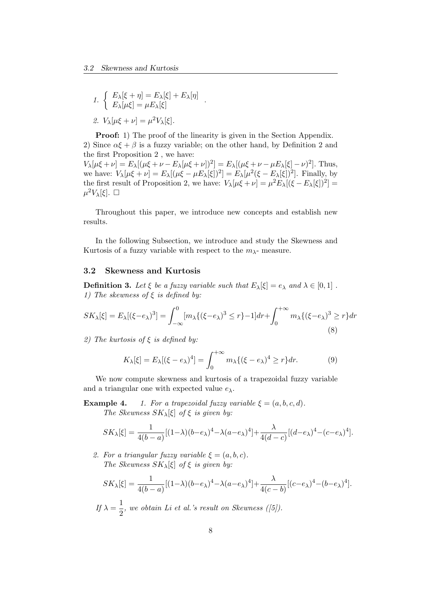1. 
$$
\begin{cases} E_{\lambda}[\xi + \eta] = E_{\lambda}[\xi] + E_{\lambda}[\eta] \\ E_{\lambda}[\mu \xi] = \mu E_{\lambda}[\xi] \end{cases}
$$

$$
\mathcal{L} \cdot V_{\lambda}[\mu \xi + \nu] = \mu^2 V_{\lambda}[\xi].
$$

**Proof:** 1) The proof of the linearity is given in the Section Appendix. 2) Since  $\alpha \xi + \beta$  is a fuzzy variable; on the other hand, by Definition 2 and the first Proposition 2 , we have:

*.*

 $V_{\lambda}[\mu\xi+\nu] = E_{\lambda}[(\mu\xi+\nu - E_{\lambda}[\mu\xi+\nu])^{2}] = E_{\lambda}[(\mu\xi+\nu - \mu E_{\lambda}[\xi]-\nu)^{2}]$ . Thus, we have:  $V_{\lambda}[\mu\xi + \nu] = E_{\lambda}[(\mu\xi - \mu E_{\lambda}[\xi])^{2}] = E_{\lambda}[\mu^{2}(\xi - E_{\lambda}[\xi])^{2}]$ . Finally, by the first result of Proposition 2, we have:  $V_{\lambda}[\mu\xi + \nu] = \mu^2 E_{\lambda}[(\xi - E_{\lambda}[\xi])^2]$  $\mu$ <sup>2</sup>*V*<sub>λ</sub>[ξ]. □

Throughout this paper, we introduce new concepts and establish new results.

In the following Subsection, we introduce and study the Skewness and Kurtosis of a fuzzy variable with respect to the  $m_{\lambda}$ - measure.

#### **3.2 Skewness and Kurtosis**

**Definition 3.** Let  $\xi$  be a fuzzy variable such that  $E_{\lambda}[\xi] = e_{\lambda}$  and  $\lambda \in [0,1]$ . *1) The skewness of ξ is defined by:*

$$
SK_{\lambda}[\xi] = E_{\lambda}[(\xi - e_{\lambda})^3] = \int_{-\infty}^0 [m_{\lambda}\{(\xi - e_{\lambda})^3 \le r\} - 1]dr + \int_0^{+\infty} m_{\lambda}\{(\xi - e_{\lambda})^3 \ge r\}dr
$$
\n(8)

*2) The kurtosis of ξ is defined by:*

$$
K_{\lambda}[\xi] = E_{\lambda}[(\xi - e_{\lambda})^4] = \int_0^{+\infty} m_{\lambda} \{ (\xi - e_{\lambda})^4 \ge r \} dr.
$$
 (9)

We now compute skewness and kurtosis of a trapezoidal fuzzy variable and a triangular one with expected value *eλ.*

**Example 4.** *1. For a trapezoidal fuzzy variable*  $\xi = (a, b, c, d)$ *. The Skewness*  $SK_{\lambda}[\xi]$  *of*  $\xi$  *is given by:* 

$$
SK_{\lambda}[\xi] = \frac{1}{4(b-a)}[(1-\lambda)(b-e_{\lambda})^{4} - \lambda(a-e_{\lambda})^{4}] + \frac{\lambda}{4(d-c)}[(d-e_{\lambda})^{4} - (c-e_{\lambda})^{4}].
$$

*2.* For a triangular fuzzy variable  $\xi = (a, b, c)$ . *The Skewness*  $SK_{\lambda}[\xi]$  *of*  $\xi$  *is given by:* 

$$
SK_{\lambda}[\xi] = \frac{1}{4(b-a)}[(1-\lambda)(b-e_{\lambda})^{4} - \lambda(a-e_{\lambda})^{4}] + \frac{\lambda}{4(c-b)}[(c-e_{\lambda})^{4} - (b-e_{\lambda})^{4}].
$$

 $If \lambda = \frac{1}{2}$  $\frac{1}{2}$ , we obtain Li et al.'s result on Skewness ([5]).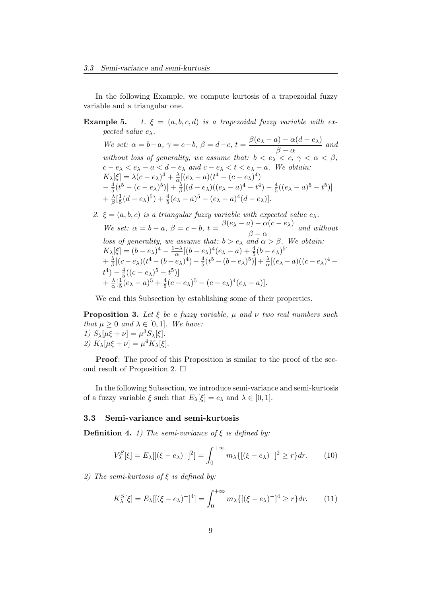In the following Example, we compute kurtosis of a trapezoidal fuzzy variable and a triangular one.

## **Example 5.** *1.*  $\xi = (a, b, c, d)$  *is a trapezoidal fuzzy variable with expected value eλ.*

We set:  $\alpha = b-a$ ,  $\gamma = c-b$ ,  $\beta = d-c$ ,  $t = \frac{\beta(e_{\lambda} - a) - \alpha(d - e_{\lambda})}{\beta}$  $\frac{\alpha(\alpha-\beta)}{\beta-\alpha}$  and *without loss of generality, we assume that:*  $b < e_{\lambda} < c$ ,  $\gamma < \alpha < \beta$ ,  $c - e_\lambda < e_\lambda - a < d - e_\lambda$  and  $c - e_\lambda < t < e_\lambda - a$ . We obtain:  $K_{\lambda}[\xi] = \lambda(c - e_{\lambda})^4 + \frac{\lambda}{\alpha}$  $\frac{\lambda}{\alpha}[(e_{\lambda}-a)(t^4-(c-e_{\lambda})^4)]$ *−* 4  $\frac{4}{5}(t^5 - (c - e_\lambda)^5)] + \frac{\lambda}{\beta}[(d - e_\lambda)((e_\lambda - a)^4 - t^4) - \frac{4}{5}]$  $\frac{4}{5}((e_{\lambda}-a)^5-t^5)$  $+\frac{\lambda}{\beta}$  $\frac{\lambda}{\beta}$ [ $\frac{1}{5}$  $\frac{1}{5}(d-e_{\lambda})^5) + \frac{4}{5}(e_{\lambda}-a)^5 - (e_{\lambda}-a)^4(d-e_{\lambda})$ .

2. 
$$
\xi = (a, b, c)
$$
 is a triangular fuzzy variable with expected value  $e_{\lambda}$ .  
\nWe set:  $\alpha = b - a$ ,  $\beta = c - b$ ,  $t = \frac{\beta(e_{\lambda} - a) - \alpha(c - e_{\lambda})}{\beta - \alpha}$  and without  
\nloss of generality, we assume that:  $b > e_{\lambda}$  and  $\alpha > \beta$ . We obtain:  
\n $K_{\lambda}[\xi] = (b - e_{\lambda})^4 - \frac{1 - \lambda}{\alpha}[(b - e_{\lambda})^4(e_{\lambda} - a) + \frac{4}{5}(b - e_{\lambda})^5]$   
\n $+ \frac{\lambda}{\beta}[(c - e_{\lambda})(t^4 - (b - e_{\lambda})^4) - \frac{4}{5}(t^5 - (b - e_{\lambda})^5)] + \frac{\lambda}{\alpha}[(e_{\lambda} - a)((c - e_{\lambda})^4 -$   
\n $t^4) - \frac{4}{5}((c - e_{\lambda})^5 - t^5)]$   
\n $+ \frac{\lambda}{\alpha}[\frac{1}{5}(e_{\lambda} - a)^5 + \frac{4}{5}(c - e_{\lambda})^5 - (c - e_{\lambda})^4(e_{\lambda} - a)].$ 

We end this Subsection by establishing some of their properties.

**Proposition 3.** *Let ξ be a fuzzy variable, µ and ν two real numbers such that*  $\mu > 0$  *and*  $\lambda \in [0, 1]$ *. We have: 1)*  $S_{\lambda}[\mu\xi + \nu] = \mu^3 S_{\lambda}[\xi]$ . *2)*  $K_{\lambda}[\mu\xi + \nu] = \mu^4 K_{\lambda}[\xi].$ 

**Proof:** The proof of this Proposition is similar to the proof of the second result of Proposition 2.  $\Box$ 

In the following Subsection, we introduce semi-variance and semi-kurtosis of a fuzzy variable  $\xi$  such that  $E_{\lambda}[\xi] = e_{\lambda}$  and  $\lambda \in [0, 1]$ *.* 

#### **3.3 Semi-variance and semi-kurtosis**

**Definition 4.** *1)* The semi-variance of  $\xi$  is defined by:

$$
V_{\lambda}^{S}[\xi] = E_{\lambda}[[(\xi - e_{\lambda})^{-}]^{2}] = \int_{0}^{+\infty} m_{\lambda} \{ [(\xi - e_{\lambda})^{-}]^{2} \ge r \} dr.
$$
 (10)

*2) The semi-kurtosis of ξ is defined by:*

$$
K_{\lambda}^{S}[\xi] = E_{\lambda}[[(\xi - e_{\lambda})^{-}]^{4}] = \int_{0}^{+\infty} m_{\lambda} \{ [(\xi - e_{\lambda})^{-}]^{4} \ge r \} dr. \tag{11}
$$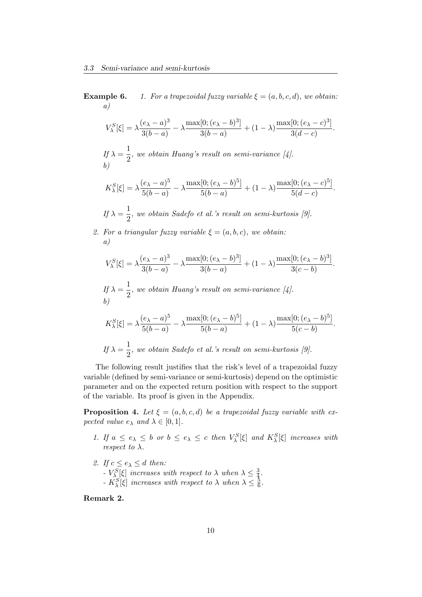**Example 6.** *1. For a trapezoidal fuzzy variable*  $\xi = (a, b, c, d)$ *, we obtain: a)*

$$
V_{\lambda}^S[\xi]=\lambda\frac{(e_{\lambda}-a)^3}{3(b-a)}-\lambda\frac{\max[0;(e_{\lambda}-b)^3]}{3(b-a)}+(1-\lambda)\frac{\max[0;(e_{\lambda}-c)^3]}{3(d-c)}.
$$

*If*  $\lambda = \frac{1}{2}$  $\frac{1}{2}$ , we obtain Huang's result on semi-variance [4]. *b)*

$$
K_{\lambda}^{S}[\xi] = \lambda \frac{(e_{\lambda} - a)^{5}}{5(b - a)} - \lambda \frac{\max[0; (e_{\lambda} - b)^{5}]}{5(b - a)} + (1 - \lambda) \frac{\max[0; (e_{\lambda} - c)^{5}]}{5(d - c)}.
$$

*If*  $\lambda = \frac{1}{2}$  $\frac{1}{2}$ , we obtain Sadefo et al.'s result on semi-kurtosis [9].

*2. For a triangular fuzzy variable*  $\xi = (a, b, c)$ *, we obtain: a)*

$$
V_{\lambda}^{S}[\xi] = \lambda \frac{(e_{\lambda} - a)^{3}}{3(b - a)} - \lambda \frac{\max[0; (e_{\lambda} - b)^{3}]}{3(b - a)} + (1 - \lambda) \frac{\max[0; (e_{\lambda} - b)^{3}]}{3(c - b)}.
$$

 $If \lambda = \frac{1}{2}$  $\frac{1}{2}$ , we obtain Huang's result on semi-variance [4]. *b)*

$$
K_{\lambda}^{S}[\xi] = \lambda \frac{(e_{\lambda} - a)^{5}}{5(b - a)} - \lambda \frac{\max[0; (e_{\lambda} - b)^{5}]}{5(b - a)} + (1 - \lambda) \frac{\max[0; (e_{\lambda} - b)^{5}]}{5(c - b)}.
$$
  
If  $\lambda = \frac{1}{2}$ , we obtain Sadefo et al.'s result on semi-kurtosis [9].

The following result justifies that the risk's level of a trapezoidal fuzzy variable (defined by semi-variance or semi-kurtosis) depend on the optimistic parameter and on the expected return position with respect to the support of the variable. Its proof is given in the Appendix.

**Proposition 4.** Let  $\xi = (a, b, c, d)$  be a trapezoidal fuzzy variable with ex*pected value*  $e_{\lambda}$  *and*  $\lambda \in [0, 1]$ *.* 

- 1. If  $a \le e_{\lambda} \le b$  or  $b \le e_{\lambda} \le c$  then  $V_{\lambda}^{S}[\xi]$  and  $K_{\lambda}^{S}[\xi]$  increases with *respect to*  $\lambda$ *.*
- 2. *If*  $c \leq e_{\lambda} \leq d$  *then:* 
	- *-*  $V_{\lambda}^{S}[\xi]$  *increases with respect to*  $\lambda$  *when*  $\lambda \leq \frac{3}{4}$ 4 *.*
	- *-*  $K_{\lambda}^{S}[\xi]$  *increases with respect to*  $\lambda$  *when*  $\lambda \leq \frac{5}{6}$  $\frac{5}{6}$ .

**Remark 2.**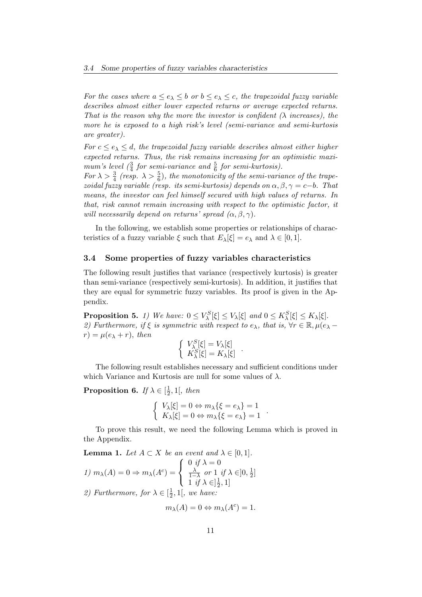*For the cases where*  $a \leq e_{\lambda} \leq b$  *or*  $b \leq e_{\lambda} \leq c$ *, the trapezoidal fuzzy variable describes almost either lower expected returns or average expected returns. That is the reason why the more the investor is confident (λ increases), the more he is exposed to a high risk's level (semi-variance and semi-kurtosis are greater).*

*For*  $c \leq e_{\lambda} \leq d$ , the trapezoidal fuzzy variable describes almost either higher *expected returns. Thus, the risk remains increasing for an optimistic maxi*mum's level  $\left(\frac{3}{4}\right)$  for semi-variance and  $\frac{5}{6}$  for semi-kurtosis).

*For*  $\lambda > \frac{3}{4}$  (resp.  $\lambda > \frac{5}{6}$ ), the monotonicity of the semi-variance of the trape*zoidal fuzzy variable (resp. its semi-kurtosis) depends on*  $\alpha, \beta, \gamma = c - b$ *. That means, the investor can feel himself secured with high values of returns. In that, risk cannot remain increasing with respect to the optimistic factor, it will necessarily depend on returns' spread*  $(\alpha, \beta, \gamma)$ *.* 

In the following, we establish some properties or relationships of characteristics of a fuzzy variable  $\xi$  such that  $E_\lambda[\xi] = e_\lambda$  and  $\lambda \in [0, 1]$ *.* 

#### **3.4 Some properties of fuzzy variables characteristics**

The following result justifies that variance (respectively kurtosis) is greater than semi-variance (respectively semi-kurtosis). In addition, it justifies that they are equal for symmetric fuzzy variables. Its proof is given in the Appendix.

**Proposition 5.** 1) We have:  $0 \leq V_{\lambda}^{S}[\xi] \leq V_{\lambda}[\xi]$  and  $0 \leq K_{\lambda}^{S}[\xi] \leq K_{\lambda}[\xi]$ . *2)* Furthermore, if  $\xi$  is symmetric with respect to  $e_{\lambda}$ , that is,  $\forall r \in \mathbb{R}, \mu(e_{\lambda} - \lambda)$  $r) = \mu(e_\lambda + r)$ , *then* 

$$
\begin{cases} V_{\lambda}^{S}[\xi] = V_{\lambda}[\xi] \\ K_{\lambda}^{S}[\xi] = K_{\lambda}[\xi] \end{cases}
$$

*.*

The following result establishes necessary and sufficient conditions under which Variance and Kurtosis are null for some values of *λ*.

**Proposition 6.** *If*  $\lambda \in \left[\frac{1}{2}\right]$  $\frac{1}{2}$ , 1[*, then* 

$$
\begin{cases} V_{\lambda}[\xi] = 0 \Leftrightarrow m_{\lambda} \{\xi = e_{\lambda}\} = 1\\ K_{\lambda}[\xi] = 0 \Leftrightarrow m_{\lambda} \{\xi = e_{\lambda}\} = 1 \end{cases}.
$$

To prove this result, we need the following Lemma which is proved in the Appendix.

**Lemma 1.** *Let*  $A \subset X$  *be an event and*  $\lambda \in [0, 1]$ *. 1)*  $m_{\lambda}(A) = 0 \Rightarrow m_{\lambda}(A^c) =$  $\sqrt{ }$  $\overline{I}$  $\mathcal{L}$  $0 \text{ if } \lambda = 0$ *λ*  $\frac{\lambda}{1-\lambda}$  *or* 1 *if*  $\lambda \in ]0, \frac{1}{2}$  $\frac{1}{2}$ ]  $1 \text{ if } \lambda \in ]\frac{1}{2}$  $\frac{1}{2}, 1]$ *2)* Furthermore, for  $\lambda \in \left[\frac{1}{2}\right]$  $\frac{1}{2}$ , 1[, we have:

$$
m_{\lambda}(A) = 0 \Leftrightarrow m_{\lambda}(A^c) = 1.
$$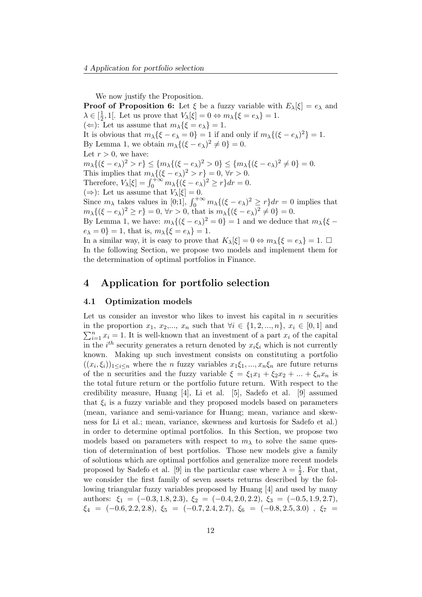We now justify the Proposition.

**Proof of Proposition 6:** Let  $\xi$  be a fuzzy variable with  $E_{\lambda}[\xi] = e_{\lambda}$  and  $\lambda \in \left[\frac{1}{2}\right]$  $\frac{1}{2}$ , 1[. Let us prove that  $V_{\lambda}[\xi] = 0 \Leftrightarrow m_{\lambda} {\xi = e_{\lambda}} = 1.$  $(\Leftarrow)$ : Let us assume that  $m_{\lambda} {\{\xi = e_{\lambda}\}} = 1$ . It is obvious that  $m_{\lambda} {\{\xi - e_{\lambda} = 0\}} = 1$  if and only if  $m_{\lambda} {\{(\xi - e_{\lambda})^2\}} = 1$ . By Lemma 1, we obtain  $m_{\lambda}\{(\xi - e_{\lambda})^2 \neq 0\} = 0$ . Let  $r > 0$ , we have:  $m_{\lambda}\{(\xi - e_{\lambda})^2 > r\} \leq \{m_{\lambda}\{(\xi - e_{\lambda})^2 > 0\} \leq \{m_{\lambda}\{(\xi - e_{\lambda})^2 \neq 0\} = 0.$ This implies that  $m_{\lambda} \{ (\xi - e_{\lambda})^2 > r \} = 0, \forall r > 0.$ Therefore,  $V_{\lambda}[\xi] = \int_0^{+\infty} m_{\lambda} \{ (\xi - e_{\lambda})^2 \ge r \} dr = 0.$  $(\Rightarrow)$ : Let us assume that  $V_{\lambda}[\xi] = 0$ . Since  $m_\lambda$  takes values in [0;1],  $\int_0^{+\infty} m_\lambda \{(\xi - e_\lambda)^2 \ge r\} dr = 0$  implies that *m*<sub>λ</sub> $\{(\xi - e_\lambda)^2 \ge r\} = 0$ ,  $\forall r > 0$ , that is  $m_\lambda \{(\xi - e_\lambda)^2 \ne 0\} = 0$ . By Lemma 1, we have:  $m_{\lambda} \{ (\xi - e_{\lambda})^2 = 0 \} = 1$  and we deduce that  $m_{\lambda} \{ \xi$  $e_{\lambda} = 0$ } = 1, that is,  $m_{\lambda} {\{\xi = e_{\lambda}\}} = 1$ . In a similar way, it is easy to prove that  $K_\lambda[\xi] = 0 \Leftrightarrow m_\lambda\{\xi = e_\lambda\} = 1$ .  $\Box$ In the following Section, we propose two models and implement them for

the determination of optimal portfolios in Finance.

## **4 Application for portfolio selection**

#### **4.1 Optimization models**

Let us consider an investor who likes to invest his capital in *n* securities in the proportion  $x_1, x_2, ..., x_n$  such that  $∀i ∈ {1, 2, ..., n}, x_i ∈ [0, 1]$  and  $\sum_{i=1}^{n} x_i = 1$ . It is well-known that an investment of a part  $x_i$  of the capital in the  $i^{th}$  security generates a return denoted by  $x_i \xi_i$  which is not currently known. Making up such investment consists on constituting a portfolio  $((x_i, \xi_i))_{1 \leq i \leq n}$  where the *n* fuzzy variables  $x_1 \xi_1, ..., x_n \xi_n$  are future returns of the n securities and the fuzzy variable  $\xi = \xi_1 x_1 + \xi_2 x_2 + ... + \xi_n x_n$  is the total future return or the portfolio future return. With respect to the credibility measure, Huang [4], Li et al. [5], Sadefo et al. [9] assumed that  $\xi_i$  is a fuzzy variable and they proposed models based on parameters (mean, variance and semi-variance for Huang; mean, variance and skewness for Li et al.; mean, variance, skewness and kurtosis for Sadefo et al.) in order to determine optimal portfolios. In this Section, we propose two models based on parameters with respect to  $m<sub>\lambda</sub>$  to solve the same question of determination of best portfolios. Those new models give a family of solutions which are optimal portfolios and generalize more recent models proposed by Sadefo et al. [9] in the particular case where  $\lambda = \frac{1}{2}$  $\frac{1}{2}$ . For that, we consider the first family of seven assets returns described by the following triangular fuzzy variables proposed by Huang [4] and used by many authors:  $\xi_1 = (-0.3, 1.8, 2.3), \xi_2 = (-0.4, 2.0, 2.2), \xi_3 = (-0.5, 1.9, 2.7),$  $\xi_4 = (-0.6, 2.2, 2.8), \xi_5 = (-0.7, 2.4, 2.7), \xi_6 = (-0.8, 2.5, 3.0), \xi_7 =$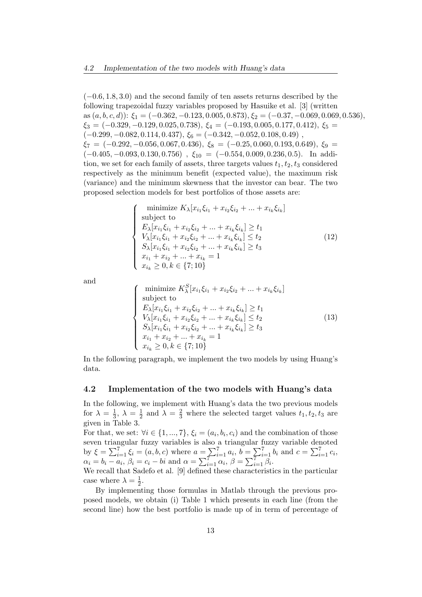(*−*0*.*6*,* 1*.*8*,* 3*.*0) and the second family of ten assets returns described by the following trapezoidal fuzzy variables proposed by Hasuike et al. [3] (written as  $(a, b, c, d)$ :  $\xi_1 = (-0.362, -0.123, 0.005, 0.873), \xi_2 = (-0.37, -0.069, 0.069, 0.536),$ *ξ*<sup>3</sup> = (*−*0*.*329*, −*0*.*129*,* 0*.*025*,* 0*.*738)*, ξ*<sup>4</sup> = (*−*0*.*193*,* 0*.*005*,* 0*.*177*,* 0*.*412)*, ξ*<sup>5</sup> = (*−*0*.*299*, −*0*.*082*,* 0*.*114*,* 0*.*437)*, ξ*<sup>6</sup> = (*−*0*.*342*, −*0*.*052*,* 0*.*108*,* 0*.*49) , *ξ*<sup>7</sup> = (*−*0*.*292*, −*0*.*056*,* 0*.*067*,* 0*.*436), *ξ*<sup>8</sup> = (*−*0*.*25*,* 0*.*060*,* 0*.*193*,* 0*.*649)*, ξ*<sup>9</sup> = (*−*0*.*405*, −*0*.*093*,* 0*.*130*,* 0*.*756) , *ξ*<sup>10</sup> = (*−*0*.*554*,* 0*.*009*,* 0*.*236*,* 0*.*5). In addition, we set for each family of assets, three targets values  $t_1, t_2, t_3$  considered respectively as the minimum benefit (expected value), the maximum risk (variance) and the minimum skewness that the investor can bear. The two proposed selection models for best portfolios of those assets are:

$$
\begin{cases}\n\text{minimize } K_{\lambda}[x_{i_1}\xi_{i_1} + x_{i_2}\xi_{i_2} + \dots + x_{i_k}\xi_{i_k}] \\
\text{subject to} \\
E_{\lambda}[x_{i_1}\xi_{i_1} + x_{i_2}\xi_{i_2} + \dots + x_{i_k}\xi_{i_k}] \ge t_1 \\
V_{\lambda}[x_{i_1}\xi_{i_1} + x_{i_2}\xi_{i_2} + \dots + x_{i_k}\xi_{i_k}] \le t_2 \\
S_{\lambda}[x_{i_1}\xi_{i_1} + x_{i_2}\xi_{i_2} + \dots + x_{i_k}\xi_{i_k}] \ge t_3 \\
x_{i_1} + x_{i_2} + \dots + x_{i_k} = 1 \\
x_{i_k} \ge 0, k \in \{7; 10\}\n\end{cases} \tag{12}
$$

and

$$
\begin{cases}\n\text{minimize } K_{\lambda}^{S}[x_{i_{1}}\xi_{i_{1}} + x_{i_{2}}\xi_{i_{2}} + \dots + x_{i_{k}}\xi_{i_{k}}] \\
\text{subject to} \\
E_{\lambda}[x_{i_{1}}\xi_{i_{1}} + x_{i_{2}}\xi_{i_{2}} + \dots + x_{i_{k}}\xi_{i_{k}}] \ge t_{1} \\
V_{\lambda}[x_{i_{1}}\xi_{i_{1}} + x_{i_{2}}\xi_{i_{2}} + \dots + x_{i_{k}}\xi_{i_{k}}] \le t_{2} \\
S_{\lambda}[x_{i_{1}}\xi_{i_{1}} + x_{i_{2}}\xi_{i_{2}} + \dots + x_{i_{k}}\xi_{i_{k}}] \ge t_{3} \\
x_{i_{1}} + x_{i_{2}} + \dots + x_{i_{k}} = 1 \\
x_{i_{k}} \ge 0, k \in \{7; 10\}\n\end{cases} \tag{13}
$$

In the following paragraph, we implement the two models by using Huang's data.

#### **4.2 Implementation of the two models with Huang's data**

In the following, we implement with Huang's data the two previous models for  $\lambda = \frac{1}{3}$  $\frac{1}{3}$ ,  $\lambda = \frac{1}{2}$  $\frac{1}{2}$  and  $\lambda = \frac{2}{3}$  where the selected target values  $t_1, t_2, t_3$  are given in Table 3.

For that, we set:  $\forall i \in \{1, ..., 7\}$ ,  $\xi_i = (a_i, b_i, c_i)$  and the combination of those seven triangular fuzzy variables is also a triangular fuzzy variable denoted by  $\xi = \sum_{i=1}^{7} \xi_i = (a, b, c)$  where  $a = \sum_{i=1}^{7} a_i$ ,  $b = \sum_{i=1}^{7} b_i$  and  $c = \sum_{i=1}^{7} c_i$ ,  $\alpha_i = b_i - a_i, \beta_i = c_i - bi \text{ and } \alpha = \sum_{i=1}^{7} \alpha_i, \beta = \sum_{i=1}^{7} \beta_i.$ 

We recall that Sadefo et al. [9] defined these characteristics in the particular case where  $\lambda = \frac{1}{2}$  $\frac{1}{2}$ .

By implementing those formulas in Matlab through the previous proposed models, we obtain (i) Table 1 which presents in each line (from the second line) how the best portfolio is made up of in term of percentage of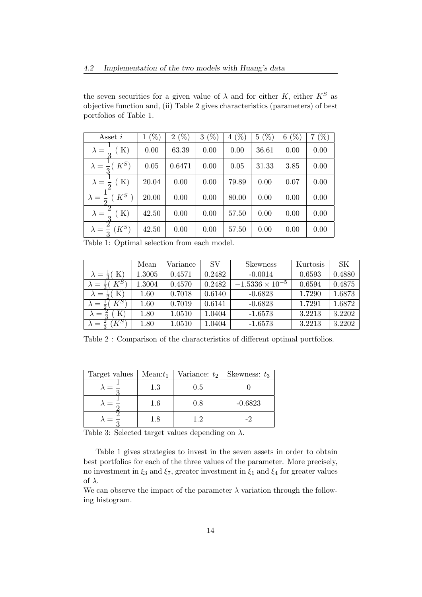the seven securities for a given value of  $\lambda$  and for either  $K$ , either  $K^S$  as objective function and, (ii) Table 2 gives characteristics (parameters) of best portfolios of Table 1.

| Asset $i$                          | $(\%)$<br>1 | $(\%)$<br>$\overline{2}$ | $(\%)$<br>3 | $(\%)$<br>4 | $(\% )$<br>$5\overline{)}$ | $(\%)$<br>6 | $(\%)$<br>7 |
|------------------------------------|-------------|--------------------------|-------------|-------------|----------------------------|-------------|-------------|
| K)<br>$\lambda = \frac{1}{2}$      | 0.00        | 63.39                    | 0.00        | 0.00        | 36.61                      | 0.00        | 0.00        |
| $K^S)$<br>$\lambda = \frac{1}{2}$  | 0.05        | 0.6471                   | 0.00        | 0.05        | 31.33                      | 3.85        | 0.00        |
| K)<br>$\lambda = \frac{1}{2}$      | 20.04       | 0.00                     | 0.00        | 79.89       | 0.00                       | 0.07        | 0.00        |
| $K^S$<br>$\lambda = \frac{1}{x}$   | 20.00       | 0.00                     | 0.00        | 80.00       | 0.00                       | 0.00        | 0.00        |
| K)<br>$\lambda =$                  | 42.50       | 0.00                     | 0.00        | 57.50       | 0.00                       | 0.00        | 0.00        |
| $(K^S)$<br>$\lambda = \frac{1}{2}$ | 42.50       | 0.00                     | 0.00        | 57.50       | 0.00                       | 0.00        | 0.00        |

Table 1: Optimal selection from each model.

|                                      | Mean       | Variance | SV     | <b>Skewness</b>          | Kurtosis | SK.    |
|--------------------------------------|------------|----------|--------|--------------------------|----------|--------|
| $\lambda = \frac{1}{3}$ (K)          | $1.3005\,$ | 0.4571   | 0.2482 | $-0.0014$                | 0.6593   | 0.4880 |
| $K^S$<br>$\lambda = \frac{1}{2}$     | 1.3004     | 0.4570   | 0.2482 | $-1.5336 \times 10^{-5}$ | 0.6594   | 0.4875 |
| $\lambda = \frac{1}{2}$ (K)          | 1.60       | 0.7018   | 0.6140 | $-0.6823$                | 1.7290   | 1.6873 |
| $K^S$<br>$\lambda =$                 | 1.60       | 0.7019   | 0.6141 | $-0.6823$                | 1.7291   | 1.6872 |
| K)<br>$\lambda =$                    | 1.80       | 1.0510   | 1.0404 | $-1.6573$                | 3.2213   | 3.2202 |
| $K^{S^{\gamma}}$<br>승<br>$\lambda =$ | $1.80\,$   | 1.0510   | 1.0404 | $-1.6573$                | 3.2213   | 3.2202 |

Table 2 : Comparison of the characteristics of different optimal portfolios.

| Target values | $Mean:t_1$ | Variance: $t_2$ | Skewness: $t_3$ |
|---------------|------------|-----------------|-----------------|
|               | 1.3        | 0.5             |                 |
|               | 1.6        | $0.8\,$         | $-0.6823$       |
|               | 1.8        | 1.2             |                 |

Table 3: Selected target values depending on *λ*.

Table 1 gives strategies to invest in the seven assets in order to obtain best portfolios for each of the three values of the parameter. More precisely, no investment in  $\xi_3$  and  $\xi_7$ , greater investment in  $\xi_1$  and  $\xi_4$  for greater values of *λ*.

We can observe the impact of the parameter  $\lambda$  variation through the following histogram.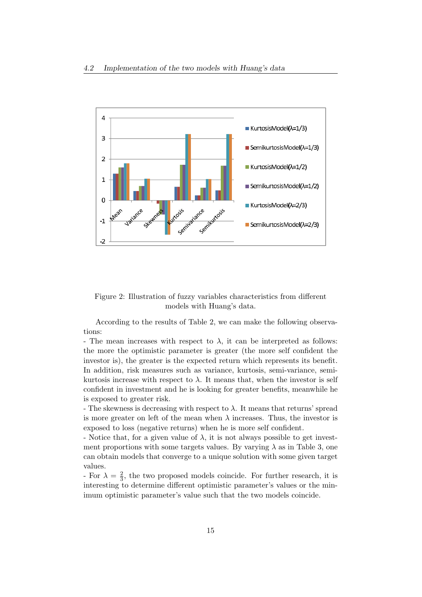

Figure 2: Illustration of fuzzy variables characteristics from different models with Huang's data.

According to the results of Table 2, we can make the following observations:

- The mean increases with respect to  $\lambda$ , it can be interpreted as follows: the more the optimistic parameter is greater (the more self confident the investor is), the greater is the expected return which represents its benefit. In addition, risk measures such as variance, kurtosis, semi-variance, semikurtosis increase with respect to  $\lambda$ . It means that, when the investor is self confident in investment and he is looking for greater benefits, meanwhile he is exposed to greater risk.

- The skewness is decreasing with respect to  $\lambda$ . It means that returns' spread is more greater on left of the mean when  $\lambda$  increases. Thus, the investor is exposed to loss (negative returns) when he is more self confident.

- Notice that, for a given value of  $\lambda$ , it is not always possible to get investment proportions with some targets values. By varying  $\lambda$  as in Table 3, one can obtain models that converge to a unique solution with some given target values.

- For  $\lambda = \frac{2}{3}$  $\frac{2}{3}$ , the two proposed models coincide. For further research, it is interesting to determine different optimistic parameter's values or the minimum optimistic parameter's value such that the two models coincide.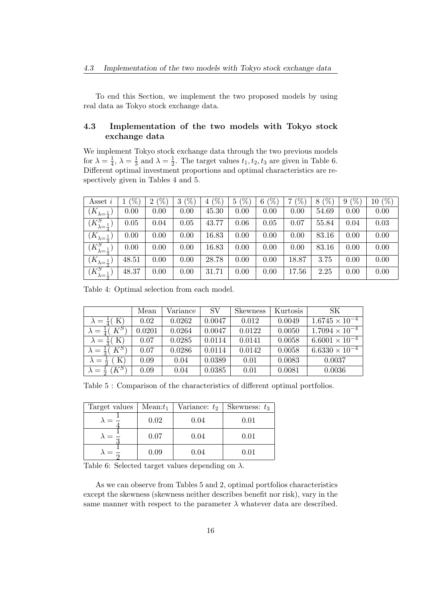To end this Section, we implement the two proposed models by using real data as Tokyo stock exchange data.

#### **4.3 Implementation of the two models with Tokyo stock exchange data**

We implement Tokyo stock exchange data through the two previous models for  $\lambda = \frac{1}{4}$  $\frac{1}{4}$ ,  $\lambda = \frac{1}{3}$  $\frac{1}{3}$  and  $\lambda = \frac{1}{2}$  $\frac{1}{2}$ . The target values  $t_1, t_2, t_3$  are given in Table 6. Different optimal investment proportions and optimal characteristics are respectively given in Tables 4 and 5.

| Asset i                       | $\%$  | $(\%$<br>$\overline{2}$ | $\%$ ,<br>3 | $(\% )$<br>4 | $\mathcal{V}_0$<br>$\overline{5}$ | $\mathscr{C}_0$<br>6 <sub>1</sub> | $\mathscr{V}_0$<br>⇁ | $(\%)$<br>8 | $\%$<br>9 | 10(%) |
|-------------------------------|-------|-------------------------|-------------|--------------|-----------------------------------|-----------------------------------|----------------------|-------------|-----------|-------|
| $(K_{\lambda=\frac{1}{4}})$   | 0.00  | 0.00                    | 0.00        | 45.30        | 0.00                              | 0.00                              | 0.00                 | 54.69       | 0.00      | 0.00  |
| $(K^S_{\lambda=1})$           | 0.05  | 0.04                    | 0.05        | 43.77        | 0.06                              | 0.05                              | 0.07                 | 55.84       | 0.04      | 0.03  |
| $(K_{\lambda=\frac{1}{2}})$   | 0.00  | 0.00                    | 0.00        | 16.83        | 0.00                              | 0.00                              | 0.00                 | 83.16       | 0.00      | 0.00  |
| $(K_{\lambda=\frac{1}{2}}^S)$ | 0.00  | 0.00                    | 0.00        | 16.83        | 0.00                              | 0.00                              | 0.00                 | 83.16       | 0.00      | 0.00  |
| $(K_{\lambda=\frac{1}{2}})$   | 48.51 | 0.00                    | 0.00        | 28.78        | 0.00                              | 0.00                              | 18.87                | 3.75        | 0.00      | 0.00  |
| $(K_{\lambda=\frac{1}{2}}^S)$ | 48.37 | 0.00                    | 0.00        | 31.71        | 0.00                              | 0.00                              | 17.56                | 2.25        | 0.00      | 0.00  |

Table 4: Optimal selection from each model.

|                               | Mean                 | Variance | <b>SV</b> | <b>Skewness</b> | Kurtosis | SK                      |
|-------------------------------|----------------------|----------|-----------|-----------------|----------|-------------------------|
| $\lambda = \frac{1}{4}$ (K)   | 0.02                 | 0.0262   | 0.0047    | 0.012           | 0.0049   | $1.6745 \times 10^{-4}$ |
| $\lambda = \frac{1}{4}(K^S)$  | $\hphantom{-}0.0201$ | 0.0264   | 0.0047    | 0.0122          | 0.0050   | $1.7094 \times 10^{-4}$ |
| $\lambda = \frac{1}{3}$ (K)   | 0.07                 | 0.0285   | 0.0114    | 0.0141          | 0.0058   | $6.6001 \times 10^{-4}$ |
| $\lambda = \frac{1}{3}(K^S)$  | 0.07                 | 0.0286   | 0.0114    | 0.0142          | 0.0058   | $6.6330 \times 10^{-4}$ |
| K)<br>$\lambda = \frac{1}{2}$ | 0.09                 | 0.04     | 0.0389    | 0.01            | 0.0083   | 0.0037                  |
| $\lambda = \frac{1}{2} (K^S)$ | 0.09                 | 0.04     | 0.0385    | 0.01            | 0.0081   | 0.0036                  |

Table 5 : Comparison of the characteristics of different optimal portfolios.

| Target values | $Mean:t_1$ | Variance: $t_2$ | Skewness: $t_3$ |  |
|---------------|------------|-----------------|-----------------|--|
|               | 0.02       | 0.04            | 0.01            |  |
|               | 0.07       | 0.04            | 0.01            |  |
|               | 0.09       | 0.04            | 0.01            |  |

Table 6: Selected target values depending on *λ*.

As we can observe from Tables 5 and 2, optimal portfolios characteristics except the skewness (skewness neither describes benefit nor risk), vary in the same manner with respect to the parameter  $\lambda$  whatever data are described.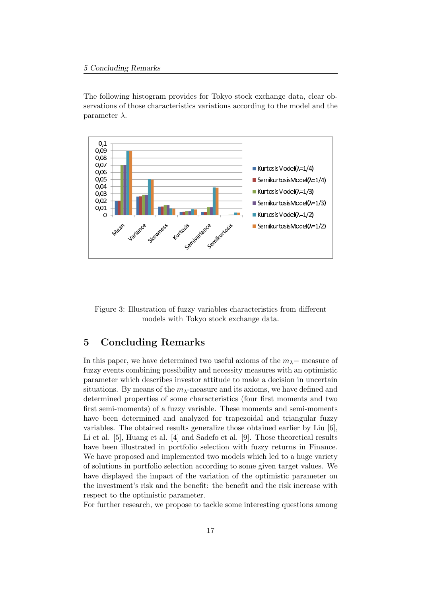The following histogram provides for Tokyo stock exchange data, clear observations of those characteristics variations according to the model and the parameter *λ*.



Figure 3: Illustration of fuzzy variables characteristics from different models with Tokyo stock exchange data.

## **5 Concluding Remarks**

In this paper, we have determined two useful axioms of the  $m<sub>\lambda</sub>$  – measure of fuzzy events combining possibility and necessity measures with an optimistic parameter which describes investor attitude to make a decision in uncertain situations. By means of the *mλ*-measure and its axioms, we have defined and determined properties of some characteristics (four first moments and two first semi-moments) of a fuzzy variable. These moments and semi-moments have been determined and analyzed for trapezoidal and triangular fuzzy variables. The obtained results generalize those obtained earlier by Liu [6], Li et al. [5], Huang et al. [4] and Sadefo et al. [9]. Those theoretical results have been illustrated in portfolio selection with fuzzy returns in Finance. We have proposed and implemented two models which led to a huge variety of solutions in portfolio selection according to some given target values. We have displayed the impact of the variation of the optimistic parameter on the investment's risk and the benefit: the benefit and the risk increase with respect to the optimistic parameter.

For further research, we propose to tackle some interesting questions among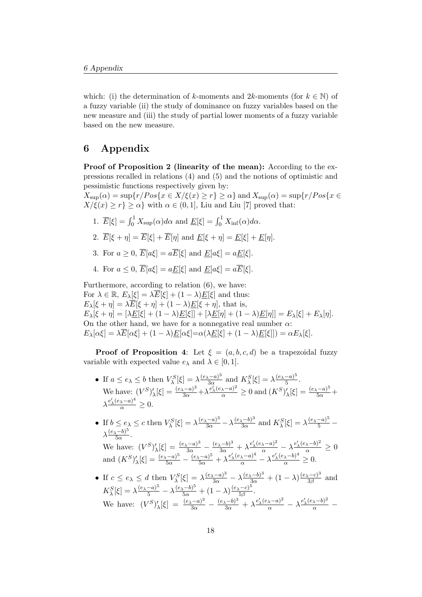which: (i) the determination of *k*-moments and  $2k$ -moments (for  $k \in \mathbb{N}$ ) of a fuzzy variable (ii) the study of dominance on fuzzy variables based on the new measure and (iii) the study of partial lower moments of a fuzzy variable based on the new measure.

## **6 Appendix**

Proof of Proposition 2 (linearity of the mean): According to the expressions recalled in relations (4) and (5) and the notions of optimistic and pessimistic functions respectively given by:

 $X_{\text{sup}}(\alpha) = \sup\{r/Pos\{x \in X/\xi(x) \geq r\} \geq \alpha\}$  and  $X_{\text{sup}}(\alpha) = \sup\{r/Pos\{x \in X\}$  $X/\xi(x) \geq r$ }  $\geq \alpha$ } with  $\alpha \in (0,1]$ , Liu and Liu [7] proved that:

- 1.  $\overline{E}[\xi] = \int_0^1 X_{\text{sup}}(\alpha) d\alpha$  and  $\underline{E}[\xi] = \int_0^1 X_{\text{inf}}(\alpha) d\alpha$ .
- 2.  $\overline{E}[\xi + \eta] = \overline{E}[\xi] + \overline{E}[\eta]$  and  $E[\xi + \eta] = E[\xi] + E[\eta]$ .
- 3. For  $a > 0$ ,  $\overline{E}[a\xi] = a\overline{E}[\xi]$  and  $E[a\xi] = aE[\xi]$ .
- 4. For  $a \leq 0$ ,  $\overline{E}[a\xi] = aE[\xi]$  and  $E[a\xi] = a\overline{E}[\xi]$ .

Furthermore, according to relation (6), we have: For  $\lambda \in \mathbb{R}, E_{\lambda}[\xi] = \lambda \overline{E}[\xi] + (1 - \lambda) \underline{E}[\xi]$  and thus:  $E_\lambda[\xi + \eta] = \lambda \overline{E}[\xi + \eta] + (1 - \lambda) \underline{E}[\xi + \eta]$ , that is,  $E_{\lambda}[\xi + \eta] = [\lambda E[\xi] + (1 - \lambda)E[\xi]] + [\lambda E[\eta] + (1 - \lambda)E[\eta]] = E_{\lambda}[\xi] + E_{\lambda}[\eta].$ On the other hand, we have for a nonnegative real number *α*:  $E_{\lambda}[\alpha\xi] = \lambda \overline{E}[\alpha\xi] + (1-\lambda)\underline{E}[\alpha\xi] = \alpha(\lambda \underline{E}[\xi] + (1-\lambda)\underline{E}[\xi]]) = \alpha E_{\lambda}[\xi].$ 

**Proof of Proposition 4:** Let  $\xi = (a, b, c, d)$  be a trapezoidal fuzzy variable with expected value  $e_{\lambda}$  and  $\lambda \in [0, 1]$ .

- If  $a \leq e_{\lambda} \leq b$  then  $V_{\lambda}^{S}[\xi] = \lambda \frac{(e_{\lambda} a)^{3}}{3\alpha}$  $\frac{(a-a)^3}{3\alpha}$  and  $K_\lambda^S[\xi] = \lambda \frac{(e_\lambda - a)^5}{5}$  $\frac{-a)^{2}}{5}$ . We have:  $(V^S)'_{\lambda}[\xi] = \frac{(e_{\lambda} - a)^3}{3\alpha} + \lambda \frac{e'_{\lambda}(e_{\lambda} - a)^2}{\alpha} \ge 0$  and  $(K^S)'_{\lambda}[\xi] = \frac{(e_{\lambda} - a)^5}{5\alpha} +$  $\lambda \frac{e'_{\lambda}(e_{\lambda} - a)^4}{\alpha} \geq 0.$
- If  $b \le e_\lambda \le c$  then  $V_\lambda^S[\xi] = \lambda \frac{(e_\lambda a)^3}{3\alpha} \lambda \frac{(e_\lambda b)^3}{3\alpha}$  $\frac{(x-b)^3}{3\alpha}$  and  $K_{\lambda}^S[\xi] = \lambda \frac{(e_{\lambda}-a)^5}{5} \lambda \frac{(e_{\lambda}-b)^5}{5\alpha}$  $rac{(-b)^{2}}{5\alpha}$ . We have:  $(V^{S})'_{\lambda}[\xi] = \frac{(e_{\lambda}-a)^3}{3\alpha} - \frac{(e_{\lambda}-b)^3}{3\alpha} + \lambda \frac{e'_{\lambda}(e_{\lambda}-a)^2}{\alpha} - \lambda \frac{e'_{\lambda}(e_{\lambda}-b)^2}{\alpha} \ge 0$ and  $(K^{S})'_{\lambda}[\xi] = \frac{(e_{\lambda} - a)^5}{5\alpha} - \frac{(e_{\lambda} - a)^5}{5\alpha} + \lambda \frac{e'_{\lambda}(e_{\lambda} - a)^4}{\alpha} - \lambda \frac{e'_{\lambda}(e_{\lambda} - b)^4}{\alpha} \ge 0.$
- If  $c \le e_\lambda \le d$  then  $V_\lambda^S[\xi] = \lambda \frac{(e_\lambda a)^3}{3\alpha} \lambda \frac{(e_\lambda b)^3}{3\alpha} + (1 \lambda) \frac{(e_\lambda c)^3}{3\beta}$  $rac{(-c)^2}{3\beta}$  and  $K_{\lambda}^{S}[\xi] = \lambda \frac{(e_{\lambda} - a)^5}{5} - \lambda \frac{(e_{\lambda} - b)^5}{5\alpha} + (1 - \lambda) \frac{(e_{\lambda} - c)^5}{5\beta}$ 5*β .* We have:  $(V^{S})'_{\lambda}[\xi] = \frac{(e_{\lambda}-a)^3}{3\alpha} - \frac{(e_{\lambda}-b)^3}{3\alpha} + \lambda \frac{e'_{\lambda}(e_{\lambda}-a)^2}{\alpha} - \lambda \frac{e'_{\lambda}(e_{\lambda}-b)^2}{\alpha}$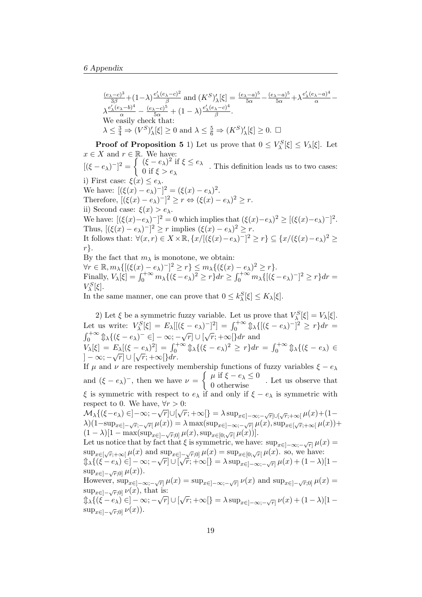$$
\frac{(e_{\lambda}-c)^{3}}{3\beta}+(1-\lambda)\frac{e'_{\lambda}(e_{\lambda}-c)^{2}}{\beta}\text{ and }(K^{S})'_{\lambda}[\xi]=\frac{(e_{\lambda}-a)^{5}}{5\alpha}-\frac{(e_{\lambda}-a)^{5}}{5\alpha}+\lambda\frac{e'_{\lambda}(e_{\lambda}-a)^{4}}{\alpha}-\lambda\frac{e'_{\lambda}(e_{\lambda}-b)^{4}}{5\alpha}-\frac{(e_{\lambda}-c)^{5}}{5\alpha}+(1-\lambda)\frac{e'_{\lambda}(e_{\lambda}-c)^{4}}{\beta}.
$$
  
We easily check that:  

$$
\lambda \leq \frac{3}{4} \Rightarrow (V^{S})'_{\lambda}[\xi] \geq 0 \text{ and } \lambda \leq \frac{5}{6} \Rightarrow (K^{S})'_{\lambda}[\xi] \geq 0. \square
$$

**Proof of Proposition 5** 1) Let us prove that  $0 \leq V_\lambda^S[\xi] \leq V_\lambda[\xi]$ . Let  $x \in X$  and  $r \in \mathbb{R}$ . We have:  $[(\xi - e_\lambda)^{-}]^2 = \begin{cases} (\xi - e_\lambda)^2 & \text{if } \xi \leq e_\lambda \\ 0 & \text{if } \xi > e_\lambda \end{cases}$ 

0 if *ξ > e<sup>λ</sup> .* This definition leads us to two cases: i) First case: *ξ*(*x*) *≤ eλ*. We have:  $[(\xi(x) - e_{\lambda})^{-}]^{2} = (\xi(x) - e_{\lambda})^{2}$ . Therefore,  $[(\xi(x) - e_\lambda)^{-}]^2 \ge r \Leftrightarrow (\xi(x) - e_\lambda)^2 \ge r$ . ii) Second case:  $\xi(x) > e_{\lambda}$ . We have:  $[(\xi(x)-e_\lambda)^{-}]^2 = 0$  which implies that  $(\xi(x)-e_\lambda)^2 \geq [(\xi(x)-e_\lambda)^{-}]^2$ .

Thus,  $[(\xi(x) - e_{\lambda})^{-}]^{2} \geq r$  implies  $(\xi(x) - e_{\lambda})^{2} \geq r$ . It follows that:  $\forall (x,r) \in X \times \mathbb{R}, \{x/[(\xi(x)-e_{\lambda})^{-}]^{2} \geq r\} \subseteq \{x/(\xi(x)-e_{\lambda})^{2} \geq r\}$ *r}.*

By the fact that  $m<sub>\lambda</sub>$  is monotone, we obtain:  $\forall r \in \mathbb{R}, m_{\lambda}\{[(\xi(x)-e_{\lambda})^{-}]^{2} \geq r\} \leq m_{\lambda}\{(\xi(x)-e_{\lambda})^{2} \geq r\}.$ Finally,  $V_{\lambda}[\xi] = \int_0^{+\infty} m_{\lambda} \{(\xi - e_{\lambda})^2 \ge r\} dr \ge \int_0^{+\infty} m_{\lambda} \{[(\xi - e_{\lambda})^{-}]^2 \ge r\} dr =$  $V_{\lambda}^S[\xi]$ .

In the same manner, one can prove that  $0 \leq k_{\lambda}^{S}[\xi] \leq K_{\lambda}[\xi]$ .

2) Let  $\xi$  be a symmetric fuzzy variable. Let us prove that  $V^S_\lambda[\xi] = V_\lambda[\xi]$ . *λ* Let us write:  $V_{\lambda}^{S}[\xi] = E_{\lambda}[(\xi - e_{\lambda})^{-}]^{2}] = \int_{0}^{+\infty} \hat{\psi}_{\lambda} \{ [(\xi - e_{\lambda})^{-}]^{2} \geq r \} dr =$  $\int_0^{+\infty} \oint \lambda \{ (\xi - e_\lambda)^- \in ] -\infty; -\sqrt{r} ] \cup [\sqrt{r}; +\infty[ \} dr$  and  $V_{\lambda}[\xi] = E_{\lambda}[(\xi - e_{\lambda})^2] = \int_0^{+\infty} \hat{\psi}_{\lambda} \{(\xi - e_{\lambda})^2 \ge r\} dr = \int_0^{+\infty} \hat{\psi}_{\lambda} \{(\xi - e_{\lambda}) \in \mathbb{R} \}$ ] *− ∞*; *− r*] *∪* [ *r*; +*∞*[*}dr*.

If  $\mu$  and  $\nu$  are respectively membership functions of fuzzy variables  $\xi - e_\lambda$ and  $(\xi - e_{\lambda})^{-}$ , then we have  $\nu = \begin{cases} \mu & \text{if } \xi - e_{\lambda} \leq 0 \\ 0 & \text{otherwise} \end{cases}$ . Let us observe that *ξ* is symmetric with respect to  $e_{\lambda}$  if and only if  $\xi - e_{\lambda}$  is symmetric with respect to 0. We have,  $\forall r > 0$ :

respect to 0. We have,  $\forall r > 0$ .<br>  $\mathcal{M}_{\lambda}\{(\xi - e_{\lambda}) \in ]-\infty; -\sqrt{r}]\cup[\sqrt{r}; +\infty[\} = \lambda \sup_{x \in ]-\infty; -\sqrt{r}]\cup[\sqrt{r}; +\infty[\mu(x) + (1-\lambda)\mu(\mu(x))]}$  $\lambda)(1-\sup_{x\in]-\sqrt{r};-\sqrt{r}}(\mu(x))=\lambda \max(\sup_{x\in]-\infty;-\sqrt{r}}\mu(x),\sup_{x\in[\sqrt{r};+\infty[}\mu(x))+\lambda$  $(1 - \lambda) [1 - \max(\sup_{x \in ]-\sqrt{r},0]} \mu(x), \sup_{x \in [0,\sqrt{r}]} \mu(x))]$ .

Let us notice that by fact that  $\xi$  is symmetric, we have:  $\sup_{x \in ]-\infty,-\sqrt{r}]} \mu(x) =$  $\sup_{x \in [\sqrt{r}; +\infty]} \mu(x)$  and  $\sup_{x \in ]-\sqrt{r};0]} \mu(x) = \sup_{x \in [0;\sqrt{r}]} \mu(x)$ . so, we have:  $\lim_{\lambda \to \infty} \left( (\xi - e_{\lambda}) \in ]-\infty; -\sqrt{r} \right] \cup [\sqrt{r}; +\infty[ \} = \lambda \sup_{x \in ]-\infty; -\sqrt{r}]} \mu(x) + (1 - \lambda)[1 - \lambda]$ sup<sub>*x*∈</sub> $]-\sqrt{r}$ ;0]</sub>  $\mu(x)$ ). However,  $\sup_{x \in ]-\infty; -\sqrt{r}]} \mu(x) = \sup_{x \in ]-\infty; -\sqrt{r}]} \nu(x)$  and  $\sup_{x \in ]-\sqrt{r};0]} \mu(x) =$  $\sup_{x \in ]-\sqrt{r},0]} \nu(x)$ , that is:

 $\sup_{x \in ]-\sqrt{r};0]}\nu(x)$ , that is.<br>  $\lim_{x \to \infty} \int_{-\infty}^{\infty} f(x-\epsilon) e^{-\epsilon} \nu(x) dx$ <br>  $\lim_{x \to \infty} \int_{-\infty}^{\infty} f(x-\epsilon) e^{-\epsilon} \nu(x) dx$  $\sup_{x \in ]-\sqrt{r};0]} \nu(x)$ ).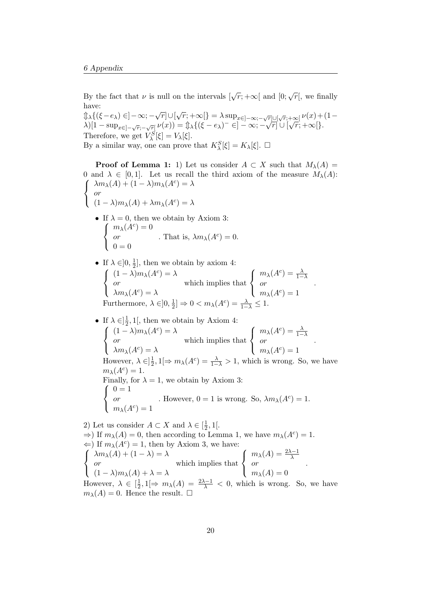By the fact that *v* is null on the intervals  $[\sqrt{r}; +\infty[$  and  $[0; \sqrt{r}],$  we finally have:

 $\lim_{x \to \infty} \mathbb{E}[f(x - e_{\lambda}) \in ]-\infty; -\sqrt{r}] \cup [\sqrt{r}; +\infty[] = \lambda \sup_{x \in ]-\infty; -\sqrt{r}] \cup [\sqrt{r}; +\infty[} \nu(x) + (1-\lambda) \sup_{x \in [-\infty; -\sqrt{r}] \cup [\sqrt{r}; +\infty[} \nu(x)]$  $\lambda\left[(1-\sup_{x\in[-\sqrt{r};-\sqrt{r}]}\nu(x))\right]=\lim_{\lambda\to\infty}\{\left(\xi-e_{\lambda}\right)^{-}\in]-\infty;-\sqrt{r}\right]\cup\left[\sqrt{r};+\infty\right]\times$ Therefore, we get  $V_{\lambda}^{S}[\xi] = V_{\lambda}[\xi]$ . *S* By a similar way, one can prove that  $K_{\lambda}^{S}[\xi] = K_{\lambda}[\xi]$ .  $\Box$ 

**Proof of Lemma 1:** 1) Let us consider  $A \subset X$  such that  $M_{\lambda}(A) =$ 0 and  $\lambda \in [0,1]$ . Let us recall the third axiom of the measure  $M_{\lambda}(A)$ :  $\sqrt{ }$  $\left\langle \mathbf{r}_{i}\right\rangle =\left\langle \mathbf{r}_{i}\right\rangle \left\langle \mathbf{r}_{i}\right\rangle \left\langle \mathbf{r}_{i}\right\rangle \left\langle \mathbf{r}_{i}\right\rangle \left\langle \mathbf{r}_{i}\right\rangle \left\langle \mathbf{r}_{i}\right\rangle \left\langle \mathbf{r}_{i}\right\rangle \left\langle \mathbf{r}_{i}\right\rangle \left\langle \mathbf{r}_{i}\right\rangle \left\langle \mathbf{r}_{i}\right\rangle \left\langle \mathbf{r}_{i}\right\rangle \left\langle \mathbf{r}_{i}\right\rangle \left\langle \mathbf{r}_{i}\right\rangle \left\langle \mathbf{r$  $\lambda m_{\lambda}(A) + (1 - \lambda)m_{\lambda}(A^{c}) = \lambda$ *or*

$$
(1 - \lambda)m_{\lambda}(A) + \lambda m_{\lambda}(A^{c}) = \lambda
$$

- If  $\lambda = 0$ , then we obtain by Axiom 3:  $\sqrt{ }$  $\left\vert \right\vert$  $\mathcal{L}$  $m_{\lambda}(A^c) = 0$ *or*  $0 = 0$ *.* That is,  $\lambda m_{\lambda}(A^c) = 0$ .
- If  $\lambda \in ]0, \frac{1}{2}$  $\frac{1}{2}$ , then we obtain by axiom 4:  $\sqrt{ }$  $\left\vert \right\vert$  $\mathcal{L}$  $(1 - \lambda)m_{\lambda}(A^{c}) = \lambda$ *or*  $\lambda m$ <sub>λ</sub>(*A<sup>c</sup>*) =  $\lambda$ which implies that  $\int$  $\left\vert \right\vert$  $\mathcal{L}$  $m_{\lambda}(A^c) = \frac{\lambda}{1-\lambda}$ *or*  $m_{\lambda}(A^c) = 1$ Furthermore,  $\lambda \in ]0, \frac{1}{2}$  $\frac{1}{2}$   $\Rightarrow$  0 <  $m_{\lambda}(A^{c}) = \frac{\lambda}{1-\lambda} \leq 1$ .

*.*

• If  $\lambda \in ]\frac{1}{2}$  $\frac{1}{2}$ , 1[, then we obtain by Axiom 4:  $\sqrt{ }$  $\left\langle \mathbf{r}_{i}\right\rangle =\left\langle \mathbf{r}_{i}\right\rangle \left\langle \mathbf{r}_{i}\right\rangle \left\langle \mathbf{r}_{i}\right\rangle \left\langle \mathbf{r}_{i}\right\rangle \left\langle \mathbf{r}_{i}\right\rangle \left\langle \mathbf{r}_{i}\right\rangle \left\langle \mathbf{r}_{i}\right\rangle \left\langle \mathbf{r}_{i}\right\rangle \left\langle \mathbf{r}_{i}\right\rangle \left\langle \mathbf{r}_{i}\right\rangle \left\langle \mathbf{r}_{i}\right\rangle \left\langle \mathbf{r}_{i}\right\rangle \left\langle \mathbf{r}_{i}\right\rangle \left\langle \mathbf{r$  $\mathcal{L}$  $(1 - \lambda)m_{\lambda}(A^{c}) = \lambda$ *or*  $\lambda m$ <sub>λ</sub>(*A<sup>c</sup>*) =  $\lambda$ which implies that  $\sqrt{ }$  $\left\langle \mathbf{r}_{i}\right\rangle =\left\langle \mathbf{r}_{i}\right\rangle \left\langle \mathbf{r}_{i}\right\rangle \left\langle \mathbf{r}_{i}\right\rangle \left\langle \mathbf{r}_{i}\right\rangle \left\langle \mathbf{r}_{i}\right\rangle \left\langle \mathbf{r}_{i}\right\rangle \left\langle \mathbf{r}_{i}\right\rangle \left\langle \mathbf{r}_{i}\right\rangle \left\langle \mathbf{r}_{i}\right\rangle \left\langle \mathbf{r}_{i}\right\rangle \left\langle \mathbf{r}_{i}\right\rangle \left\langle \mathbf{r}_{i}\right\rangle \left\langle \mathbf{r}_{i}\right\rangle \left\langle \mathbf{r$  $\mathcal{L}$  $m_{\lambda}(A^c) = \frac{\lambda}{1-\lambda}$ *or*  $m_{\lambda}(A^c) = 1$ *.* However,  $\lambda \in ]\frac{1}{2}$  $\frac{1}{2}$ , 1[ $\Rightarrow$   $m_{\lambda}(A^c) = \frac{\lambda}{1-\lambda} > 1$ , which is wrong. So, we have  $m_{\lambda}(A^c) = 1.$ Finally, for  $\lambda = 1$ , we obtain by Axiom 3:  $\sqrt{ }$  $\left\langle \mathbf{r}_{i}\right\rangle =\left\langle \mathbf{r}_{i}\right\rangle \left\langle \mathbf{r}_{i}\right\rangle \left\langle \mathbf{r}_{i}\right\rangle \left\langle \mathbf{r}_{i}\right\rangle \left\langle \mathbf{r}_{i}\right\rangle \left\langle \mathbf{r}_{i}\right\rangle \left\langle \mathbf{r}_{i}\right\rangle \left\langle \mathbf{r}_{i}\right\rangle \left\langle \mathbf{r}_{i}\right\rangle \left\langle \mathbf{r}_{i}\right\rangle \left\langle \mathbf{r}_{i}\right\rangle \left\langle \mathbf{r}_{i}\right\rangle \left\langle \mathbf{r}_{i}\right\rangle \left\langle \mathbf{r$  $\mathcal{L}$  $0 = 1$ *or*  $m_{\lambda}(A^c) = 1$ *.* However,  $0 = 1$  is wrong. So,  $\lambda m_{\lambda}(A^c) = 1$ .

2) Let us consider  $A \subset X$  and  $\lambda \in \left[\frac{1}{2}\right]$  $\frac{1}{2}, 1$ [.  $\Rightarrow$ ) If  $m_{\lambda}(A) = 0$ , then according to Lemma 1, we have  $m_{\lambda}(A^{c}) = 1$ . *⇐*) If *mλ*(*A<sup>c</sup>* ) = 1, then by Axiom 3, we have:  $\sqrt{ }$  $\left\langle \mathbf{r}_{i}\right\rangle =\left\langle \mathbf{r}_{i}\right\rangle \left\langle \mathbf{r}_{i}\right\rangle \left\langle \mathbf{r}_{i}\right\rangle \left\langle \mathbf{r}_{i}\right\rangle \left\langle \mathbf{r}_{i}\right\rangle \left\langle \mathbf{r}_{i}\right\rangle \left\langle \mathbf{r}_{i}\right\rangle \left\langle \mathbf{r}_{i}\right\rangle \left\langle \mathbf{r}_{i}\right\rangle \left\langle \mathbf{r}_{i}\right\rangle \left\langle \mathbf{r}_{i}\right\rangle \left\langle \mathbf{r}_{i}\right\rangle \left\langle \mathbf{r}_{i}\right\rangle \left\langle \mathbf{r$  $\mathcal{L}$  $\lambda m_{\lambda}(A) + (1 - \lambda) = \lambda$ *or*  $(1 - \lambda)m_{\lambda}(A) + \lambda = \lambda$ which implies that  $\sqrt{ }$  $\left\langle \mathbf{r}_{i}\right\rangle =\left\langle \mathbf{r}_{i}\right\rangle \left\langle \mathbf{r}_{i}\right\rangle \left\langle \mathbf{r}_{i}\right\rangle \left\langle \mathbf{r}_{i}\right\rangle \left\langle \mathbf{r}_{i}\right\rangle \left\langle \mathbf{r}_{i}\right\rangle \left\langle \mathbf{r}_{i}\right\rangle \left\langle \mathbf{r}_{i}\right\rangle \left\langle \mathbf{r}_{i}\right\rangle \left\langle \mathbf{r}_{i}\right\rangle \left\langle \mathbf{r}_{i}\right\rangle \left\langle \mathbf{r}_{i}\right\rangle \left\langle \mathbf{r}_{i}\right\rangle \left\langle \mathbf{r$  $\mathcal{L}$  $m_{\lambda}(A) = \frac{2\lambda - 1}{\lambda}$  $m_{\lambda}(A) = 0$ *.* However,  $\lambda \in \left[\frac{1}{2}\right]$  $\frac{1}{2}$ , 1[ $\Rightarrow$   $m_{\lambda}(A) = \frac{2\lambda - 1}{\lambda} < 0$ , which is wrong. So, we have  $m_{\lambda}(A) = 0$ . Hence the result.  $\square$